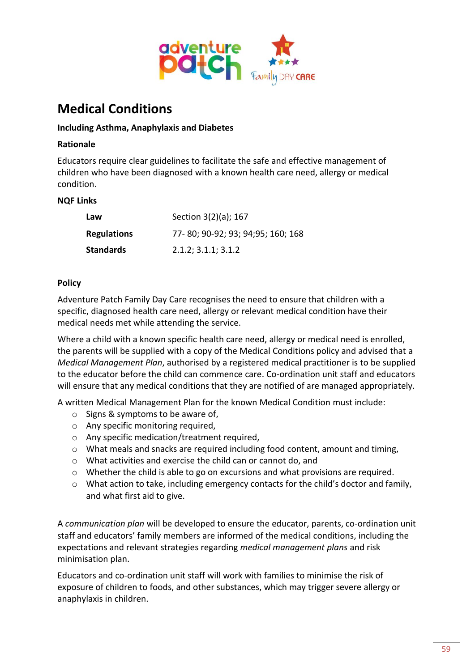

# **Medical Conditions**

## **Including Asthma, Anaphylaxis and Diabetes**

#### **Rationale**

Educators require clear guidelines to facilitate the safe and effective management of children who have been diagnosed with a known health care need, allergy or medical condition.

#### **NQF Links**

| Law                | Section 3(2)(a); 167               |
|--------------------|------------------------------------|
| <b>Regulations</b> | 77-80; 90-92; 93; 94; 95; 160; 168 |
| <b>Standards</b>   | 2.1.2; 3.1.1; 3.1.2                |

#### **Policy**

Adventure Patch Family Day Care recognises the need to ensure that children with a specific, diagnosed health care need, allergy or relevant medical condition have their medical needs met while attending the service.

Where a child with a known specific health care need, allergy or medical need is enrolled, the parents will be supplied with a copy of the Medical Conditions policy and advised that a *Medical Management Plan*, authorised by a registered medical practitioner is to be supplied to the educator before the child can commence care. Co-ordination unit staff and educators will ensure that any medical conditions that they are notified of are managed appropriately.

A written Medical Management Plan for the known Medical Condition must include:

- o Signs & symptoms to be aware of,
- o Any specific monitoring required,
- o Any specific medication/treatment required,
- $\circ$  What meals and snacks are required including food content, amount and timing,
- o What activities and exercise the child can or cannot do, and
- o Whether the child is able to go on excursions and what provisions are required.
- o What action to take, including emergency contacts for the child's doctor and family, and what first aid to give.

A *communication plan* will be developed to ensure the educator, parents, co-ordination unit staff and educators' family members are informed of the medical conditions, including the expectations and relevant strategies regarding *medical management plans* and risk minimisation plan.

Educators and co-ordination unit staff will work with families to minimise the risk of exposure of children to foods, and other substances, which may trigger severe allergy or anaphylaxis in children.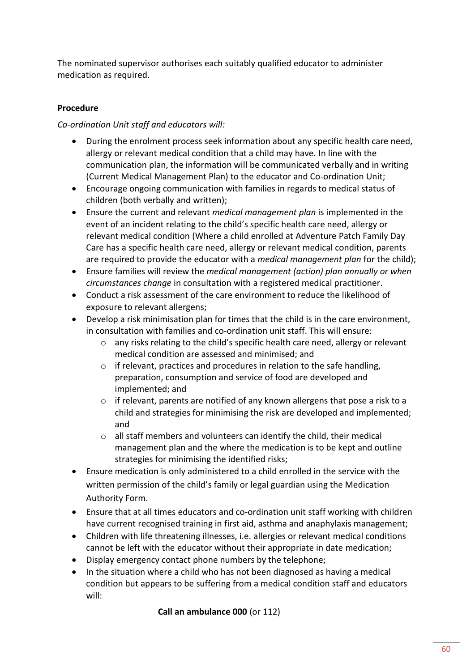The nominated supervisor authorises each suitably qualified educator to administer medication as required.

# **Procedure**

## *Co-ordination Unit staff and educators will:*

- During the enrolment process seek information about any specific health care need, allergy or relevant medical condition that a child may have. In line with the communication plan, the information will be communicated verbally and in writing (Current Medical Management Plan) to the educator and Co-ordination Unit;
- Encourage ongoing communication with families in regards to medical status of children (both verbally and written);
- Ensure the current and relevant *medical management plan* is implemented in the event of an incident relating to the child's specific health care need, allergy or relevant medical condition (Where a child enrolled at Adventure Patch Family Day Care has a specific health care need, allergy or relevant medical condition, parents are required to provide the educator with a *medical management plan* for the child);
- Ensure families will review the *medical management (action) plan annually or when circumstances change* in consultation with a registered medical practitioner.
- Conduct a risk assessment of the care environment to reduce the likelihood of exposure to relevant allergens;
- Develop a risk minimisation plan for times that the child is in the care environment, in consultation with families and co-ordination unit staff. This will ensure:
	- o any risks relating to the child's specific health care need, allergy or relevant medical condition are assessed and minimised; and
	- o if relevant, practices and procedures in relation to the safe handling, preparation, consumption and service of food are developed and implemented; and
	- o if relevant, parents are notified of any known allergens that pose a risk to a child and strategies for minimising the risk are developed and implemented; and
	- o all staff members and volunteers can identify the child, their medical management plan and the where the medication is to be kept and outline strategies for minimising the identified risks;
- Ensure medication is only administered to a child enrolled in the service with the written permission of the child's family or legal guardian using the Medication Authority Form.
- Ensure that at all times educators and co-ordination unit staff working with children have current recognised training in first aid, asthma and anaphylaxis management;
- Children with life threatening illnesses, i.e. allergies or relevant medical conditions cannot be left with the educator without their appropriate in date medication;
- Display emergency contact phone numbers by the telephone;
- In the situation where a child who has not been diagnosed as having a medical condition but appears to be suffering from a medical condition staff and educators will:

**Call an ambulance 000** (or 112)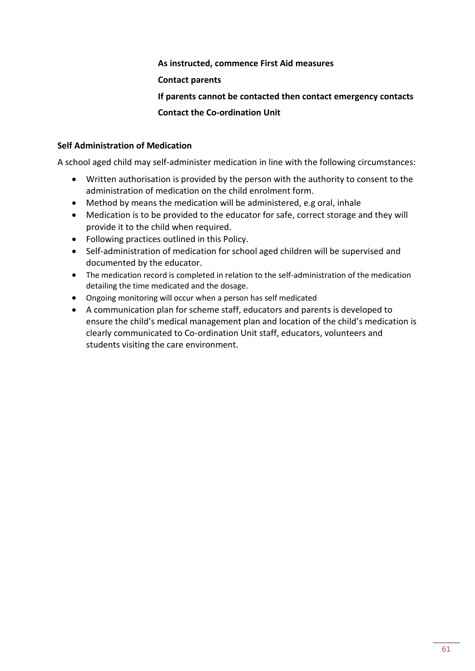#### **As instructed, commence First Aid measures**

#### **Contact parents**

## **If parents cannot be contacted then contact emergency contacts**

## **Contact the Co-ordination Unit**

#### **Self Administration of Medication**

A school aged child may self-administer medication in line with the following circumstances:

- Written authorisation is provided by the person with the authority to consent to the administration of medication on the child enrolment form.
- Method by means the medication will be administered, e.g oral, inhale
- Medication is to be provided to the educator for safe, correct storage and they will provide it to the child when required.
- Following practices outlined in this Policy.
- Self-administration of medication for school aged children will be supervised and documented by the educator.
- The medication record is completed in relation to the self-administration of the medication detailing the time medicated and the dosage.
- Ongoing monitoring will occur when a person has self medicated
- A communication plan for scheme staff, educators and parents is developed to ensure the child's medical management plan and location of the child's medication is clearly communicated to Co-ordination Unit staff, educators, volunteers and students visiting the care environment.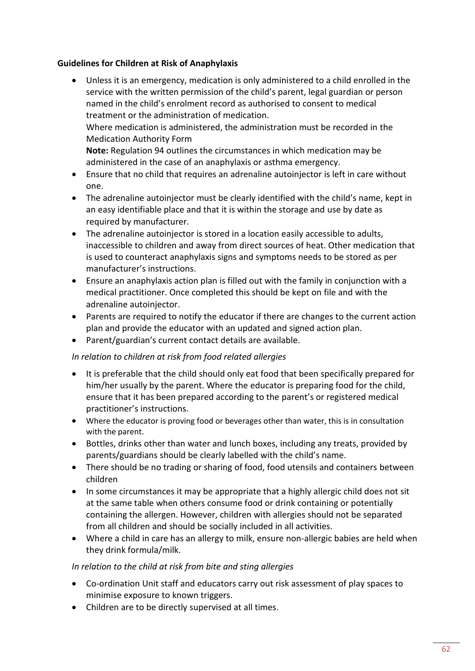## **Guidelines for Children at Risk of Anaphylaxis**

- Unless it is an emergency, medication is only administered to a child enrolled in the service with the written permission of the child's parent, legal guardian or person named in the child's enrolment record as authorised to consent to medical treatment or the administration of medication. Where medication is administered, the administration must be recorded in the Medication Authority Form **Note:** Regulation 94 outlines the circumstances in which medication may be administered in the case of an anaphylaxis or asthma emergency.
- Ensure that no child that requires an adrenaline autoinjector is left in care without one.
- The adrenaline autoinjector must be clearly identified with the child's name, kept in an easy identifiable place and that it is within the storage and use by date as required by manufacturer.
- The adrenaline autoinjector is stored in a location easily accessible to adults, inaccessible to children and away from direct sources of heat. Other medication that is used to counteract anaphylaxis signs and symptoms needs to be stored as per manufacturer's instructions.
- Ensure an anaphylaxis action plan is filled out with the family in conjunction with a medical practitioner. Once completed this should be kept on file and with the adrenaline autoinjector.
- Parents are required to notify the educator if there are changes to the current action plan and provide the educator with an updated and signed action plan.
- Parent/guardian's current contact details are available.

# *In relation to children at risk from food related allergies*

- It is preferable that the child should only eat food that been specifically prepared for him/her usually by the parent. Where the educator is preparing food for the child, ensure that it has been prepared according to the parent's or registered medical practitioner's instructions.
- Where the educator is proving food or beverages other than water, this is in consultation with the parent.
- Bottles, drinks other than water and lunch boxes, including any treats, provided by parents/guardians should be clearly labelled with the child's name.
- There should be no trading or sharing of food, food utensils and containers between children
- In some circumstances it may be appropriate that a highly allergic child does not sit at the same table when others consume food or drink containing or potentially containing the allergen. However, children with allergies should not be separated from all children and should be socially included in all activities.
- Where a child in care has an allergy to milk, ensure non-allergic babies are held when they drink formula/milk.

## *In relation to the child at risk from bite and sting allergies*

- Co-ordination Unit staff and educators carry out risk assessment of play spaces to minimise exposure to known triggers.
- Children are to be directly supervised at all times.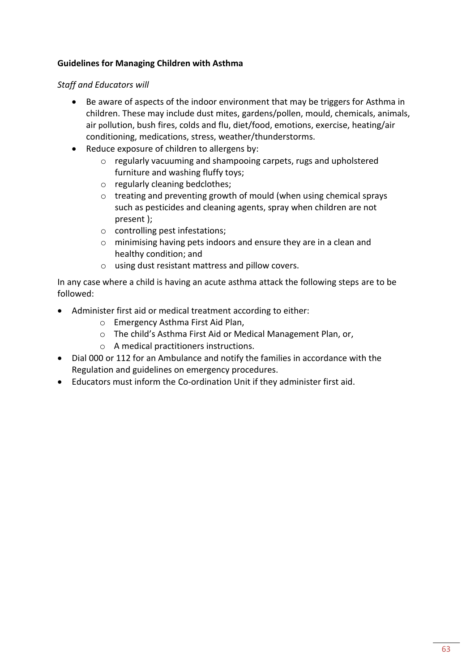# **Guidelines for Managing Children with Asthma**

*Staff and Educators will*

- Be aware of aspects of the indoor environment that may be triggers for Asthma in children. These may include dust mites, gardens/pollen, mould, chemicals, animals, air pollution, bush fires, colds and flu, diet/food, emotions, exercise, heating/air conditioning, medications, stress, weather/thunderstorms.
- Reduce exposure of children to allergens by:
	- o regularly vacuuming and shampooing carpets, rugs and upholstered furniture and washing fluffy toys;
	- o regularly cleaning bedclothes;
	- o treating and preventing growth of mould (when using chemical sprays such as pesticides and cleaning agents, spray when children are not present );
	- o controlling pest infestations;
	- o minimising having pets indoors and ensure they are in a clean and healthy condition; and
	- o using dust resistant mattress and pillow covers.

In any case where a child is having an acute asthma attack the following steps are to be followed:

- Administer first aid or medical treatment according to either:
	- o Emergency Asthma First Aid Plan,
	- o The child's Asthma First Aid or Medical Management Plan, or,
	- o A medical practitioners instructions.
- Dial 000 or 112 for an Ambulance and notify the families in accordance with the Regulation and guidelines on emergency procedures.
- Educators must inform the Co-ordination Unit if they administer first aid.